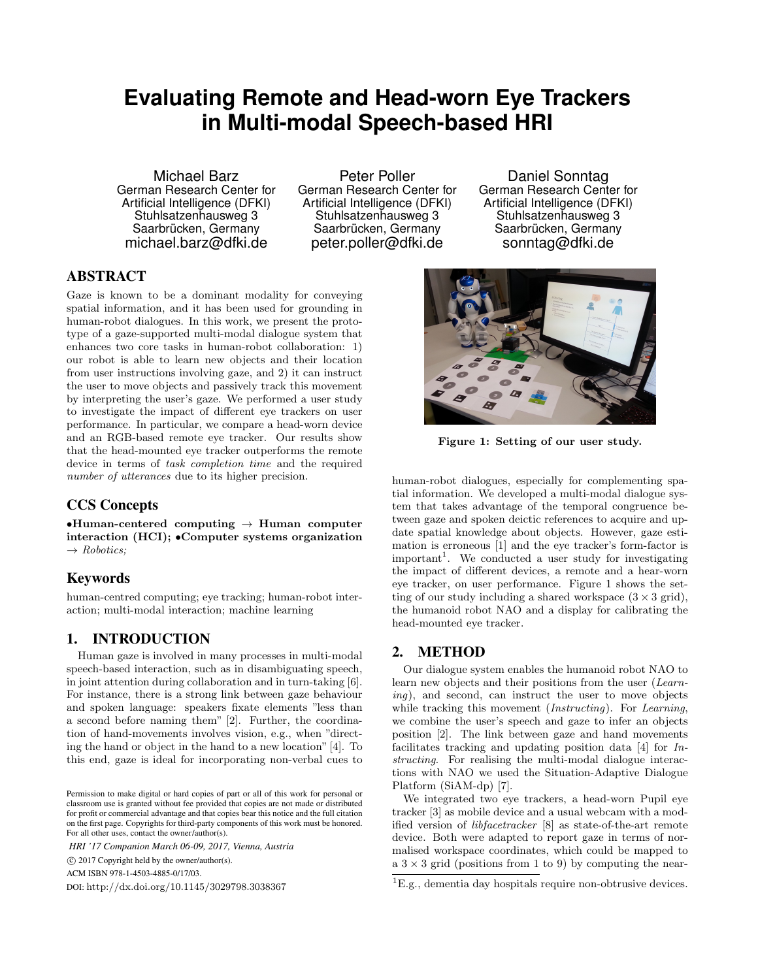# **Evaluating Remote and Head-worn Eye Trackers in Multi-modal Speech-based HRI**

Michael Barz German Research Center for Artificial Intelligence (DFKI) Stuhlsatzenhausweg 3 Saarbrücken, Germany michael.barz@dfki.de

Peter Poller German Research Center for Artificial Intelligence (DFKI) Stuhlsatzenhausweg 3 Saarbrücken, Germany peter.poller@dfki.de

Daniel Sonntag German Research Center for Artificial Intelligence (DFKI) Stuhlsatzenhausweg 3 Saarbrücken, Germany sonntag@dfki.de

## ABSTRACT

Gaze is known to be a dominant modality for conveying spatial information, and it has been used for grounding in human-robot dialogues. In this work, we present the prototype of a gaze-supported multi-modal dialogue system that enhances two core tasks in human-robot collaboration: 1) our robot is able to learn new objects and their location from user instructions involving gaze, and 2) it can instruct the user to move objects and passively track this movement by interpreting the user's gaze. We performed a user study to investigate the impact of different eye trackers on user performance. In particular, we compare a head-worn device and an RGB-based remote eye tracker. Our results show that the head-mounted eye tracker outperforms the remote device in terms of *task completion time* and the required *number of utterances* due to its higher precision.

### CCS Concepts

 $\bullet$ Human-centered computing  $\to$  Human computer interaction (HCI); *•*Computer systems organization ! *Robotics;*

## Keywords

human-centred computing; eye tracking; human-robot interaction; multi-modal interaction; machine learning

#### 1. INTRODUCTION

Human gaze is involved in many processes in multi-modal speech-based interaction, such as in disambiguating speech, in joint attention during collaboration and in turn-taking [6]. For instance, there is a strong link between gaze behaviour and spoken language: speakers fixate elements "less than a second before naming them" [2]. Further, the coordination of hand-movements involves vision, e.g., when "directing the hand or object in the hand to a new location" [4]. To this end, gaze is ideal for incorporating non-verbal cues to

*HRI '17 Companion March 06-09, 2017, Vienna, Austria*

c 2017 Copyright held by the owner/author(s).

ACM ISBN 978-1-4503-4885-0/17/03.

DOI: http://dx.doi.org/10.1145/3029798.3038367



Figure 1: Setting of our user study.

human-robot dialogues, especially for complementing spatial information. We developed a multi-modal dialogue system that takes advantage of the temporal congruence between gaze and spoken deictic references to acquire and update spatial knowledge about objects. However, gaze estimation is erroneous [1] and the eye tracker's form-factor is important<sup>1</sup>. We conducted a user study for investigating the impact of different devices, a remote and a hear-worn eye tracker, on user performance. Figure 1 shows the setting of our study including a shared workspace  $(3 \times 3 \text{ grid})$ , the humanoid robot NAO and a display for calibrating the head-mounted eye tracker.

#### 2. METHOD

Our dialogue system enables the humanoid robot NAO to learn new objects and their positions from the user (*Learning*), and second, can instruct the user to move objects while tracking this movement (*Instructing*). For *Learning*, we combine the user's speech and gaze to infer an objects position [2]. The link between gaze and hand movements facilitates tracking and updating position data [4] for *Instructing*. For realising the multi-modal dialogue interactions with NAO we used the Situation-Adaptive Dialogue Platform (SiAM-dp) [7].

We integrated two eye trackers, a head-worn Pupil eye tracker [3] as mobile device and a usual webcam with a modified version of *libfacetracker* [8] as state-of-the-art remote device. Both were adapted to report gaze in terms of normalised workspace coordinates, which could be mapped to a  $3 \times 3$  grid (positions from 1 to 9) by computing the near-

Permission to make digital or hard copies of part or all of this work for personal or classroom use is granted without fee provided that copies are not made or distributed for profit or commercial advantage and that copies bear this notice and the full citation on the first page. Copyrights for third-party components of this work must be honored. For all other uses, contact the owner/author(s).

 ${}^{1}E.g.,$  dementia day hospitals require non-obtrusive devices.